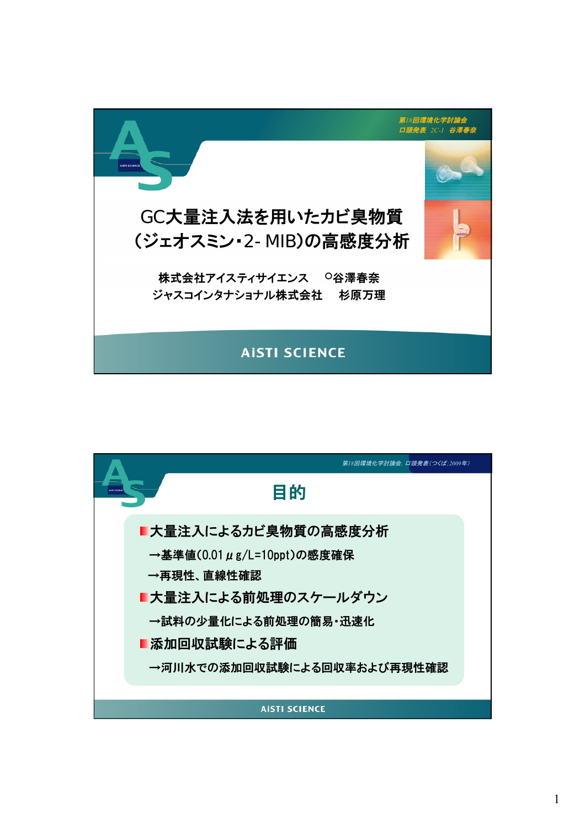

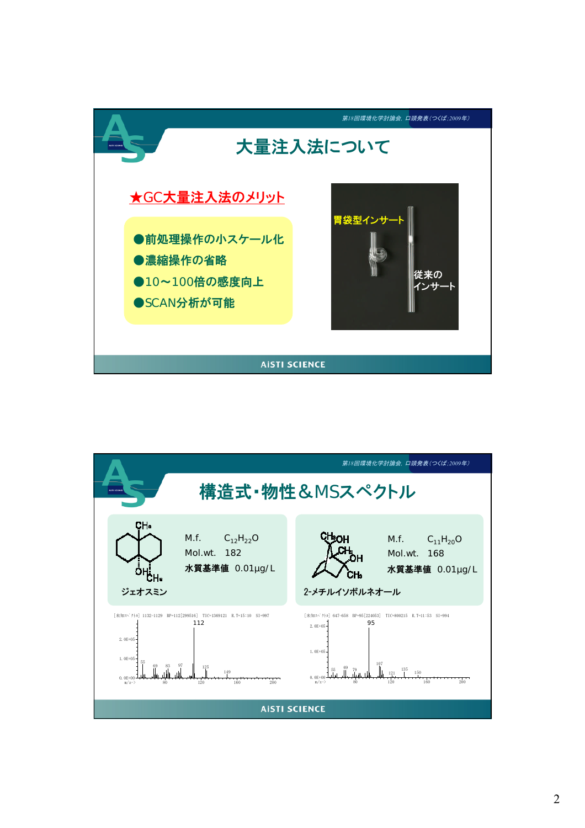

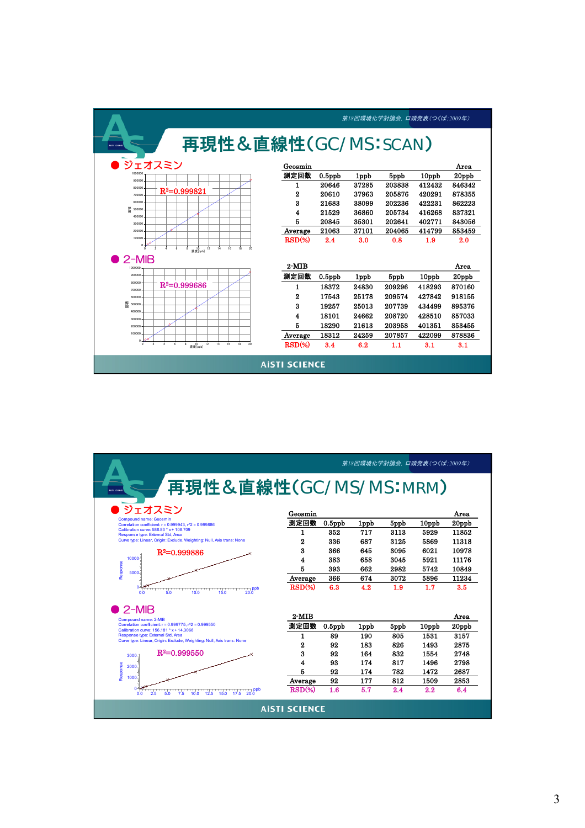

|                                                                                                                                                                                                                | 第18回環境化学討論会、口頭発表(つくば:2009年)                                                                                                                                                                                          |                                                                                |                                                               |                                                                   |                                                             |                                                              |                                                                            |  |
|----------------------------------------------------------------------------------------------------------------------------------------------------------------------------------------------------------------|----------------------------------------------------------------------------------------------------------------------------------------------------------------------------------------------------------------------|--------------------------------------------------------------------------------|---------------------------------------------------------------|-------------------------------------------------------------------|-------------------------------------------------------------|--------------------------------------------------------------|----------------------------------------------------------------------------|--|
| 再現性&直線性(GC/MS/MS:MRM)<br>AUCU SCIENCI                                                                                                                                                                          |                                                                                                                                                                                                                      |                                                                                |                                                               |                                                                   |                                                             |                                                              |                                                                            |  |
| ジェオスミン<br>Compound name: Geosmin<br>Correlation coefficient: r = 0.999943, r^2 = 0.999886<br>Calibration curve: 586.83 * x + 108.709<br>Response type: External Std, Area<br>10000-<br>Response<br>5000<br>0.0 | Curve type: Linear, Origin: Exclude, Weighting: Null, Axis trans: None<br>$R^2=0.999886$<br>n ppb<br>10.0<br>50<br>15.0<br>20.0                                                                                      | Geosmin<br>測定回数<br>1<br>2<br>3<br>4<br>5<br>Average<br>$RSD(\% )$              | $0.5$ pp $b$<br>352<br>336<br>366<br>383<br>393<br>366<br>6.3 | 1 <sub>ppb</sub><br>717<br>687<br>645<br>658<br>662<br>674<br>4.2 | 5ppb<br>3113<br>3125<br>3095<br>3045<br>2982<br>3072<br>1.9 | 10ppb<br>5929<br>5869<br>6021<br>5921<br>5742<br>5896<br>1.7 | Area<br>20ppb<br>11852<br>11318<br>10978<br>11176<br>10849<br>11234<br>3.5 |  |
| $2-MIB$<br>Compound name: 2-MIB<br>Calibration curve: 156.181 * x + 14.3066<br>Response type: External Std, Area<br>3000-<br>Response<br>2000-<br>$1000 -$<br>n<br>2.5<br>0 <sub>0</sub>                       | Correlation coefficient: r = 0.999775, r^2 = 0.999550<br>Curve type: Linear, Origin: Exclude, Weighting: Null, Axis trans: None<br>$R2=0.999550$<br>$\neg$ ppb<br>5.0<br>7.5<br>10.0<br>12.5<br>15.0<br>17.5<br>20.0 | $2-MIB$<br>測定回数<br>1<br>$\overline{2}$<br>3<br>4<br>5<br>Average<br>$RSD(\% )$ | $0.5$ ppb<br>89<br>92<br>92<br>93<br>92<br>92<br>1.6          | 1 <sub>ppb</sub><br>190<br>183<br>164<br>174<br>174<br>177<br>5.7 | 5ppb<br>805<br>826<br>832<br>817<br>782<br>812<br>2.4       | 10ppb<br>1531<br>1493<br>1554<br>1496<br>1472<br>1509<br>2.2 | Area<br>20ppb<br>3157<br>2875<br>2748<br>2798<br>2687<br>2853<br>6.4       |  |
| <b>AISTI SCIENCE</b>                                                                                                                                                                                           |                                                                                                                                                                                                                      |                                                                                |                                                               |                                                                   |                                                             |                                                              |                                                                            |  |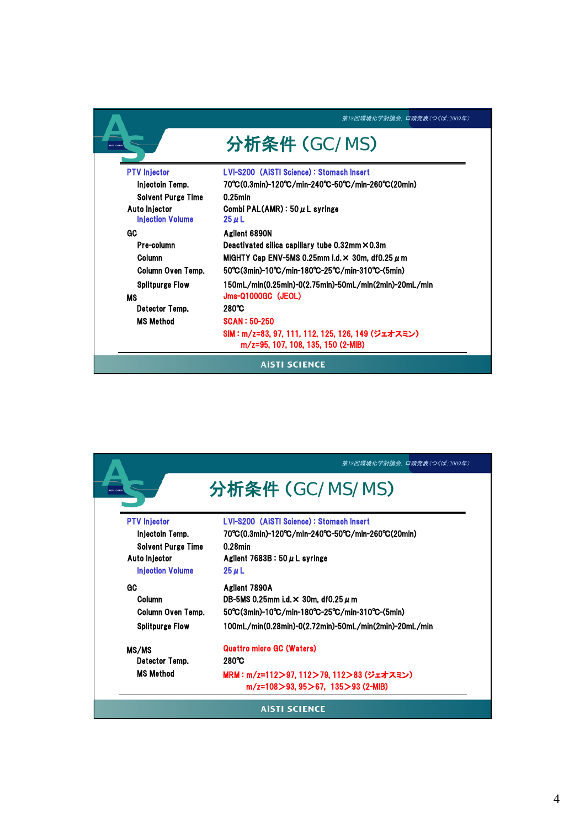|                                                                                          | 第18回環境化学討論会, 口頭発表(つくば;2009年)                                                                                                                                                                                         |  |
|------------------------------------------------------------------------------------------|----------------------------------------------------------------------------------------------------------------------------------------------------------------------------------------------------------------------|--|
|                                                                                          | 分析条件 (GC/MS)                                                                                                                                                                                                         |  |
| <b>PTV</b> Injector<br>Injectoin Temp.<br><b>Solvent Purge Time</b><br>Auto Injector     | LVI-S200 (AISTI Science): Stomach Insert<br>70°C(0.3min)-120°C/min-240°C-50°C/min-260°C(20min)<br>$0.25$ min<br>Combi PAL(AMR): $50 \mu$ L syringe                                                                   |  |
| <b>Injection Volume</b><br><b>GC</b><br>Pre-column<br><b>Column</b><br>Column Oven Temp. | $25 \mu L$<br>Agilent 6890N<br>Deactivated silica capillary tube $0.32$ mm $\times$ 0.3m<br>MIGHTY Cap ENV-5MS 0.25mm i.d. $\times$ 30m, df0.25 $\mu$ m<br>50°C(3min)-10°C/min-180°C-25°C/min-310°C-(5min)           |  |
| <b>Splitpurge Flow</b><br><b>MS</b><br>Detector Temp.<br><b>MS Method</b>                | 150mL/min(0.25min)-0(2.75min)-50mL/min(2min)-20mL/min<br>Jms-Q1000GC (JEOL)<br>$280^\circ \text{C}$<br><b>SCAN: 50-250</b><br>SIM:m/z=83, 97, 111, 112, 125, 126, 149 (ジェオスミン)<br>m/z=95, 107, 108, 135, 150 (2-MIB) |  |
|                                                                                          | <b>AISTI SCIENCE</b>                                                                                                                                                                                                 |  |

|                                                                                                                 | 第18回環境化学討論会, 口頭発表(つくば;2009年)                                                                                                                                                 |
|-----------------------------------------------------------------------------------------------------------------|------------------------------------------------------------------------------------------------------------------------------------------------------------------------------|
|                                                                                                                 | 分析条件 (GC/MS/MS)                                                                                                                                                              |
| <b>PTV</b> Injector<br>Injectoin Temp.<br><b>Solvent Purge Time</b><br>Auto Injector<br><b>Injection Volume</b> | LVI-S200 (AISTI Science): Stomach Insert<br>70°C(0.3min)-120°C/min-240°C-50°C/min-260°C(20min)<br>0.28min<br>Agilent 7683B : 50 $\mu$ L syringe<br>$25 \mu L$                |
| <b>GC</b><br>Column<br>Column Oven Temp.<br><b>Splitpurge Flow</b>                                              | Agilent 7890A<br>DB-5MS 0.25mm i.d. $\times$ 30m, df0.25 $\mu$ m<br>50°C(3min)-10°C/min-180°C-25°C/min-310°C-(5min)<br>100mL/min(0.28min)-0(2.72min)-50mL/min(2min)-20mL/min |
| MS/MS<br>Detector Temp.<br><b>MS Method</b>                                                                     | <b>Quattro micro GC (Waters)</b><br>280°C<br>MRM:m/z=112>97, 112>79, 112>83 (ジェオスミン)<br>$m/z=108 > 93, 95 > 67, 135 > 93 (2-MIB)$                                            |
|                                                                                                                 | <b>AISTI SCIENCE</b>                                                                                                                                                         |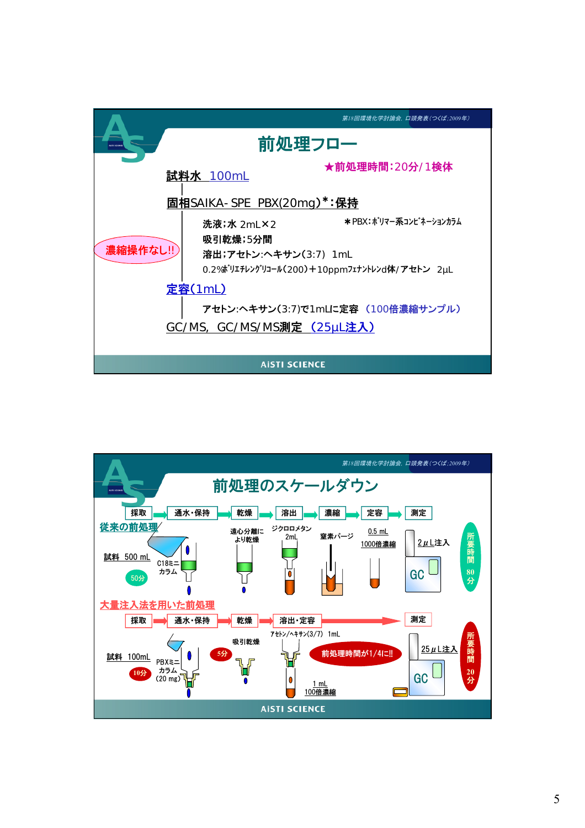

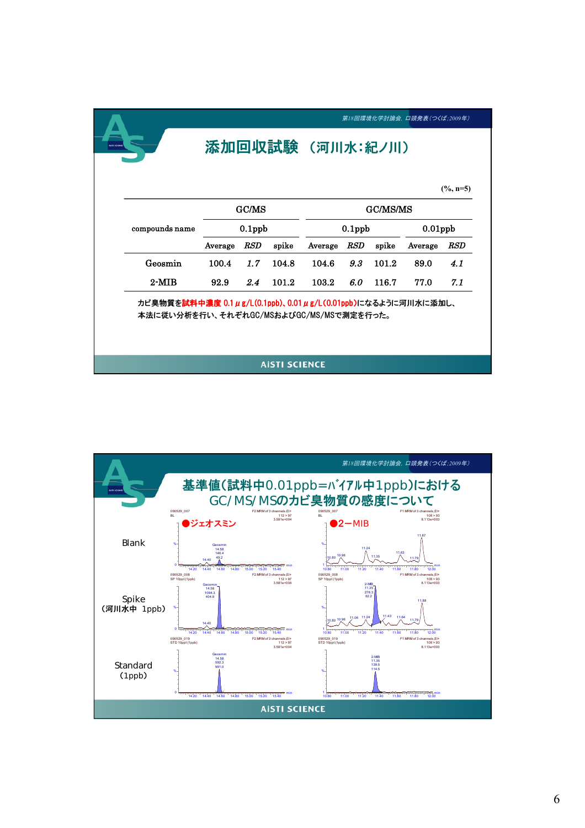|                |              |            | 添加回収試験 (河川水:紀ノ川) |                 |            |            |         |              |
|----------------|--------------|------------|------------------|-----------------|------------|------------|---------|--------------|
|                |              |            |                  |                 |            |            |         | $(\%$ , n=5) |
|                | GC/MS        |            |                  | <b>GC/MS/MS</b> |            |            |         |              |
| compounds name | $0.1$ pp $b$ |            | $0.1$ ppb        |                 |            | $0.01$ ppb |         |              |
|                | Average      | <b>RSD</b> | spike            | Average         | <b>RSD</b> | spike      | Average | RSD          |
| Geosmin        | 100.4        | 1.7        | 104.8            | 104.6           | 9.3        | 101.2      | 89.0    | 4.1          |
| $2-MIB$        | 92.9         | 2.4        | 101.2            | 103.2           | 6.0        | 116.7      | 77.0    | 7.1          |